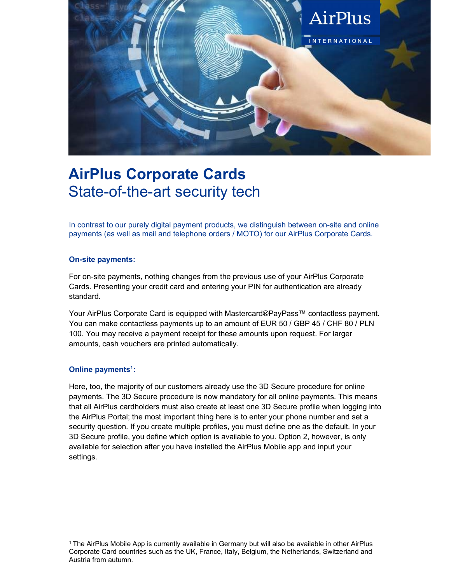

## AirPlus Corporate Cards State-of-the-art security tech

In contrast to our purely digital payment products, we distinguish between on-site and online payments (as well as mail and telephone orders / MOTO) for our AirPlus Corporate Cards.

## On-site payments:

For on-site payments, nothing changes from the previous use of your AirPlus Corporate Cards. Presenting your credit card and entering your PIN for authentication are already standard.

Your AirPlus Corporate Card is equipped with Mastercard®PayPass™ contactless payment. You can make contactless payments up to an amount of EUR 50 / GBP 45 / CHF 80 / PLN 100. You may receive a payment receipt for these amounts upon request. For larger amounts, cash vouchers are printed automatically.

## Online payments<sup>1</sup>: :

Here, too, the majority of our customers already use the 3D Secure procedure for online payments. The 3D Secure procedure is now mandatory for all online payments. This means that all AirPlus cardholders must also create at least one 3D Secure profile when logging into the AirPlus Portal; the most important thing here is to enter your phone number and set a security question. If you create multiple profiles, you must define one as the default. In your 3D Secure profile, you define which option is available to you. Option 2, however, is only available for selection after you have installed the AirPlus Mobile app and input your settings.

<sup>1</sup> The AirPlus Mobile App is currently available in Germany but will also be available in other AirPlus Corporate Card countries such as the UK, France, Italy, Belgium, the Netherlands, Switzerland and Austria from autumn.